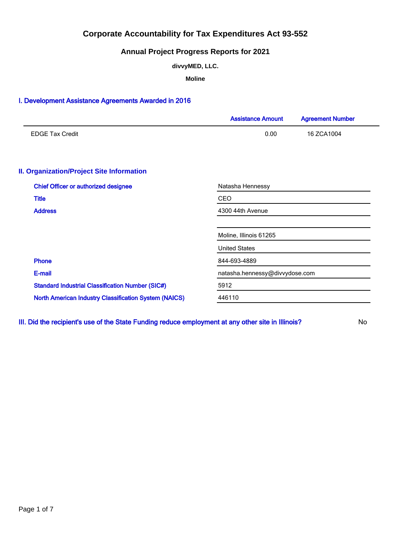## **Annual Project Progress Reports for 2021**

**divvyMED, LLC.**

**Moline**

### I. Development Assistance Agreements Awarded in 2016

|                                                              | <b>Assistance Amount</b>       | <b>Agreement Number</b> |  |  |  |
|--------------------------------------------------------------|--------------------------------|-------------------------|--|--|--|
| <b>EDGE Tax Credit</b>                                       | 0.00                           | 16 ZCA1004              |  |  |  |
| <b>II. Organization/Project Site Information</b>             |                                |                         |  |  |  |
| <b>Chief Officer or authorized designee</b>                  | Natasha Hennessy               |                         |  |  |  |
| <b>Title</b>                                                 | <b>CEO</b>                     |                         |  |  |  |
| <b>Address</b>                                               | 4300 44th Avenue               |                         |  |  |  |
|                                                              | Moline, Illinois 61265         |                         |  |  |  |
|                                                              | <b>United States</b>           |                         |  |  |  |
| <b>Phone</b>                                                 | 844-693-4889                   |                         |  |  |  |
| E-mail                                                       | natasha.hennessy@divvydose.com |                         |  |  |  |
| <b>Standard Industrial Classification Number (SIC#)</b>      | 5912                           |                         |  |  |  |
| <b>North American Industry Classification System (NAICS)</b> | 446110                         |                         |  |  |  |

III. Did the recipient's use of the State Funding reduce employment at any other site in Illinois? No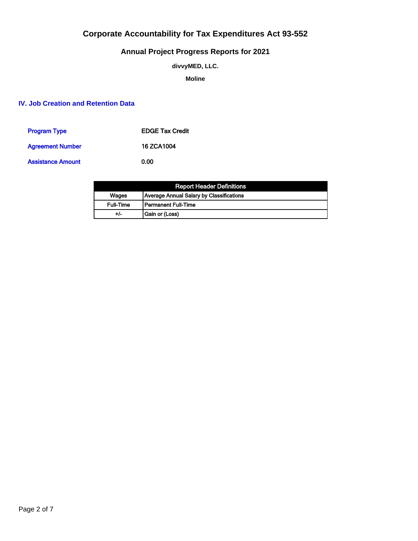## **Annual Project Progress Reports for 2021**

**divvyMED, LLC.**

**Moline**

## **IV. Job Creation and Retention Data**

| <b>Program Type</b>      | <b>EDGE Tax Credit</b> |
|--------------------------|------------------------|
| <b>Agreement Number</b>  | 16 ZCA1004             |
| <b>Assistance Amount</b> | 0.00                   |

|                  | <b>Report Header Definitions</b>         |
|------------------|------------------------------------------|
| Wages            | Average Annual Salary by Classifications |
| <b>Full-Time</b> | l Permanent Full-Time                    |
| +/-              | Gain or (Loss)                           |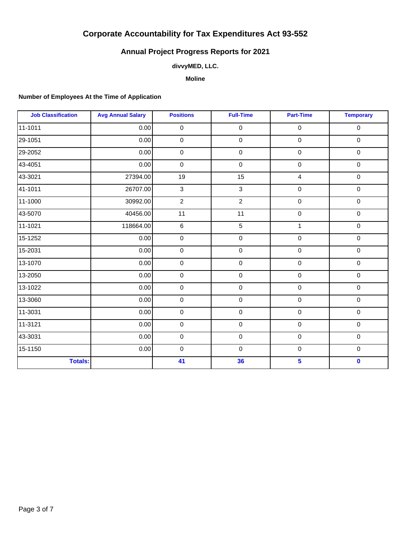## **Annual Project Progress Reports for 2021**

### **divvyMED, LLC.**

**Moline**

### **Number of Employees At the Time of Application**

| <b>Job Classification</b> | <b>Avg Annual Salary</b> | <b>Positions</b> | <b>Full-Time</b>    | <b>Part-Time</b> | <b>Temporary</b> |
|---------------------------|--------------------------|------------------|---------------------|------------------|------------------|
| 11-1011                   | 0.00                     | 0                | $\mathsf{O}\xspace$ | $\pmb{0}$        | $\pmb{0}$        |
| 29-1051                   | 0.00                     | 0                | $\mathsf{O}\xspace$ | $\mathbf 0$      | $\pmb{0}$        |
| 29-2052                   | 0.00                     | $\mathbf 0$      | $\mathsf{O}\xspace$ | $\mathbf 0$      | $\mathbf 0$      |
| 43-4051                   | 0.00                     | 0                | $\mathsf{O}\xspace$ | $\pmb{0}$        | $\pmb{0}$        |
| 43-3021                   | 27394.00                 | 19               | 15                  | $\overline{4}$   | $\pmb{0}$        |
| 41-1011                   | 26707.00                 | 3                | 3                   | $\pmb{0}$        | $\mathbf 0$      |
| 11-1000                   | 30992.00                 | $\overline{2}$   | $\overline{2}$      | $\pmb{0}$        | $\pmb{0}$        |
| 43-5070                   | 40456.00                 | 11               | 11                  | $\pmb{0}$        | $\mathbf 0$      |
| 11-1021                   | 118664.00                | 6                | 5                   | $\mathbf{1}$     | $\pmb{0}$        |
| 15-1252                   | 0.00                     | 0                | $\mathsf{O}\xspace$ | $\pmb{0}$        | $\mathbf 0$      |
| 15-2031                   | 0.00                     | 0                | $\mathsf{O}\xspace$ | $\pmb{0}$        | $\mathsf 0$      |
| 13-1070                   | 0.00                     | 0                | $\mathsf{O}\xspace$ | $\mathbf 0$      | $\mathbf 0$      |
| 13-2050                   | 0.00                     | 0                | $\mathsf{O}\xspace$ | $\pmb{0}$        | $\pmb{0}$        |
| 13-1022                   | 0.00                     | 0                | $\mathsf{O}\xspace$ | $\pmb{0}$        | $\pmb{0}$        |
| 13-3060                   | 0.00                     | 0                | $\mathsf{O}\xspace$ | $\pmb{0}$        | $\mathbf 0$      |
| 11-3031                   | 0.00                     | 0                | $\mathbf 0$         | $\mathbf 0$      | $\mathbf 0$      |
| 11-3121                   | 0.00                     | 0                | $\mathbf 0$         | $\pmb{0}$        | $\pmb{0}$        |
| 43-3031                   | 0.00                     | 0                | $\mathsf{O}\xspace$ | $\pmb{0}$        | $\pmb{0}$        |
| 15-1150                   | 0.00                     | 0                | $\mathbf 0$         | $\pmb{0}$        | $\pmb{0}$        |
| <b>Totals:</b>            |                          | 41               | 36                  | $5\phantom{a}$   | $\mathbf 0$      |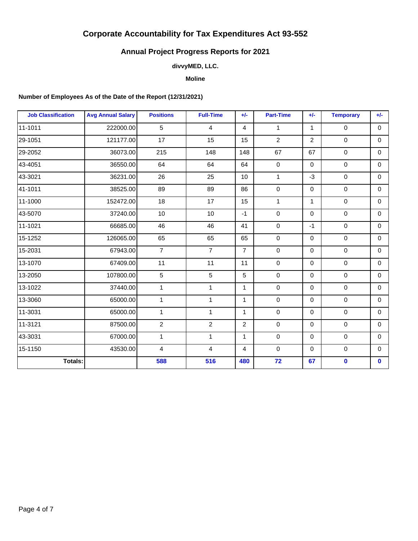## **Annual Project Progress Reports for 2021**

## **divvyMED, LLC.**

#### **Moline**

### **Number of Employees As of the Date of the Report (12/31/2021)**

| <b>Job Classification</b> | <b>Avg Annual Salary</b> | <b>Positions</b> | <b>Full-Time</b> | $+/-$          | <b>Part-Time</b> | $+/-$          | <b>Temporary</b> | $+/-$       |
|---------------------------|--------------------------|------------------|------------------|----------------|------------------|----------------|------------------|-------------|
| 11-1011                   | 222000.00                | 5                | $\overline{4}$   | $\overline{4}$ | $\mathbf{1}$     | $\mathbf{1}$   | $\mathbf 0$      | $\mathbf 0$ |
| 29-1051                   | 121177.00                | 17               | 15               | 15             | $\overline{c}$   | $\overline{2}$ | $\mathbf 0$      | $\Omega$    |
| 29-2052                   | 36073.00                 | 215              | 148              | 148            | 67               | 67             | $\mathbf 0$      | $\mathbf 0$ |
| 43-4051                   | 36550.00                 | 64               | 64               | 64             | $\pmb{0}$        | $\mathbf 0$    | $\mathbf 0$      | $\mathbf 0$ |
| 43-3021                   | 36231.00                 | 26               | 25               | 10             | $\mathbf{1}$     | $-3$           | $\mathbf 0$      | $\mathbf 0$ |
| 41-1011                   | 38525.00                 | 89               | 89               | 86             | $\mathbf 0$      | $\Omega$       | $\mathbf 0$      | $\Omega$    |
| 11-1000                   | 152472.00                | 18               | 17               | 15             | 1                | $\mathbf{1}$   | $\mathbf 0$      | $\mathbf 0$ |
| 43-5070                   | 37240.00                 | 10               | 10 <sup>1</sup>  | $-1$           | $\mathbf 0$      | $\Omega$       | 0                | $\Omega$    |
| 11-1021                   | 66685.00                 | 46               | 46               | 41             | $\mathbf 0$      | $-1$           | $\mathbf 0$      | $\mathbf 0$ |
| 15-1252                   | 126065.00                | 65               | 65               | 65             | $\mathbf 0$      | $\mathbf 0$    | $\mathbf 0$      | $\mathbf 0$ |
| 15-2031                   | 67943.00                 | $\overline{7}$   | $\overline{7}$   | $\overline{7}$ | $\pmb{0}$        | $\Omega$       | $\mathbf 0$      | $\Omega$    |
| 13-1070                   | 67409.00                 | 11               | 11               | 11             | $\mathbf 0$      | $\Omega$       | $\mathbf 0$      | $\Omega$    |
| 13-2050                   | 107800.00                | 5                | 5                | 5              | $\mathbf 0$      | $\mathbf 0$    | $\mathbf 0$      | $\mathbf 0$ |
| 13-1022                   | 37440.00                 | $\mathbf{1}$     | $\mathbf{1}$     | $\mathbf{1}$   | $\pmb{0}$        | $\Omega$       | $\mathbf 0$      | $\mathbf 0$ |
| 13-3060                   | 65000.00                 | $\mathbf{1}$     | $\mathbf{1}$     | $\mathbf{1}$   | $\mathbf 0$      | $\Omega$       | $\mathbf 0$      | $\Omega$    |
| 11-3031                   | 65000.00                 | $\mathbf{1}$     | $\mathbf{1}$     | $\mathbf{1}$   | $\mathbf 0$      | 0              | $\mathbf 0$      | $\mathbf 0$ |
| 11-3121                   | 87500.00                 | $\overline{2}$   | $\overline{2}$   | $\overline{2}$ | $\pmb{0}$        | $\mathbf 0$    | $\mathbf 0$      | $\mathbf 0$ |
| 43-3031                   | 67000.00                 | $\mathbf{1}$     | $\mathbf{1}$     | $\mathbf{1}$   | $\mathbf 0$      | $\Omega$       | $\mathbf 0$      | $\mathbf 0$ |
| 15-1150                   | 43530.00                 | $\overline{4}$   | $\overline{4}$   | $\overline{4}$ | $\mathbf 0$      | $\Omega$       | $\mathbf 0$      | $\Omega$    |
| Totals:                   |                          | 588              | 516              | 480            | 72               | 67             | $\mathbf 0$      | $\mathbf 0$ |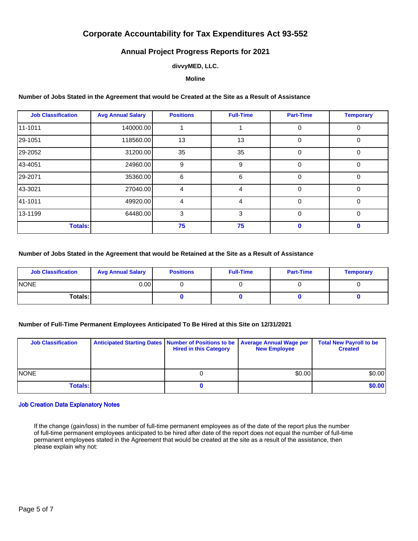## **Annual Project Progress Reports for 2021**

#### **divvyMED, LLC.**

#### **Moline**

#### **Number of Jobs Stated in the Agreement that would be Created at the Site as a Result of Assistance**

| <b>Job Classification</b> | <b>Avg Annual Salary</b> | <b>Positions</b> | <b>Full-Time</b> | <b>Part-Time</b> | <b>Temporary</b> |
|---------------------------|--------------------------|------------------|------------------|------------------|------------------|
| 11-1011                   | 140000.00                |                  |                  | $\Omega$         | $\Omega$         |
| 29-1051                   | 118560.00                | 13               | 13               | $\Omega$         | $\Omega$         |
| 29-2052                   | 31200.00                 | 35               | 35               | $\Omega$         | $\Omega$         |
| 43-4051                   | 24960.00                 | 9                | 9                | $\Omega$         | $\Omega$         |
| 29-2071                   | 35360.00                 | 6                | 6                | $\Omega$         | $\Omega$         |
| 43-3021                   | 27040.00                 | 4                | 4                | $\Omega$         | $\Omega$         |
| 41-1011                   | 49920.00                 | 4                | 4                | $\Omega$         | $\Omega$         |
| 13-1199                   | 64480.00                 | 3                | 3                | $\Omega$         | $\Omega$         |
| <b>Totals:</b>            |                          | 75               | 75               | n                | 0                |

#### **Number of Jobs Stated in the Agreement that would be Retained at the Site as a Result of Assistance**

| <b>Job Classification</b> | <b>Avg Annual Salary</b> | <b>Positions</b> | <b>Full-Time</b> | <b>Part-Time</b> | <b>Temporary</b> |
|---------------------------|--------------------------|------------------|------------------|------------------|------------------|
| <b>INONE</b>              | 0.00 l                   |                  |                  |                  |                  |
| Totals: I                 |                          |                  |                  |                  |                  |

#### **Number of Full-Time Permanent Employees Anticipated To Be Hired at this Site on 12/31/2021**

| <b>Job Classification</b> | Anticipated Starting Dates Number of Positions to be<br><b>Hired in this Category</b> | <b>Average Annual Wage per</b><br><b>New Employee</b> | <b>Total New Payroll to be</b><br><b>Created</b> |
|---------------------------|---------------------------------------------------------------------------------------|-------------------------------------------------------|--------------------------------------------------|
| <b>INONE</b>              |                                                                                       | \$0.00                                                | \$0.00]                                          |
| <b>Totals:</b>            |                                                                                       |                                                       | \$0.00                                           |

#### Job Creation Data Explanatory Notes

If the change (gain/loss) in the number of full-time permanent employees as of the date of the report plus the number of full-time permanent employees anticipated to be hired after date of the report does not equal the number of full-time permanent employees stated in the Agreement that would be created at the site as a result of the assistance, then please explain why not: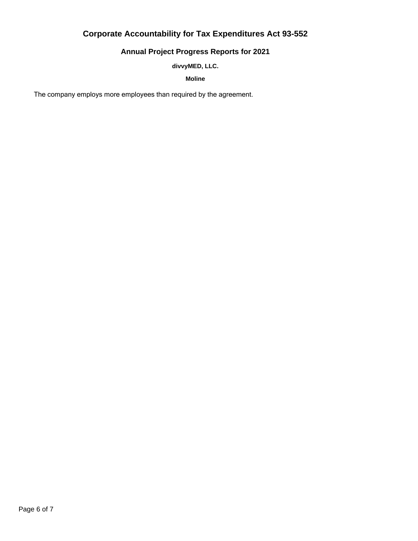## **Annual Project Progress Reports for 2021**

### **divvyMED, LLC.**

**Moline**

The company employs more employees than required by the agreement.